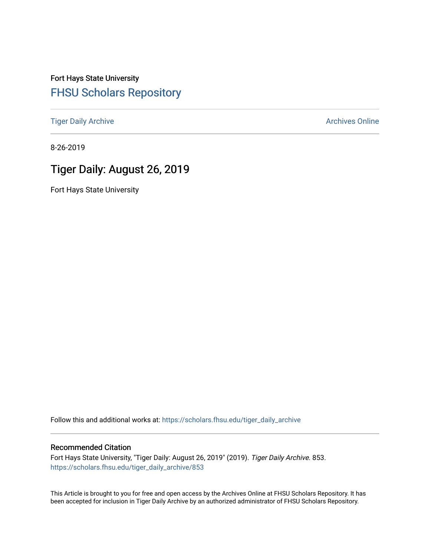Fort Hays State University [FHSU Scholars Repository](https://scholars.fhsu.edu/) 

[Tiger Daily Archive](https://scholars.fhsu.edu/tiger_daily_archive) **Archives** Online Archives Online

8-26-2019

# Tiger Daily: August 26, 2019

Fort Hays State University

Follow this and additional works at: [https://scholars.fhsu.edu/tiger\\_daily\\_archive](https://scholars.fhsu.edu/tiger_daily_archive?utm_source=scholars.fhsu.edu%2Ftiger_daily_archive%2F853&utm_medium=PDF&utm_campaign=PDFCoverPages)

#### Recommended Citation

Fort Hays State University, "Tiger Daily: August 26, 2019" (2019). Tiger Daily Archive. 853. [https://scholars.fhsu.edu/tiger\\_daily\\_archive/853](https://scholars.fhsu.edu/tiger_daily_archive/853?utm_source=scholars.fhsu.edu%2Ftiger_daily_archive%2F853&utm_medium=PDF&utm_campaign=PDFCoverPages)

This Article is brought to you for free and open access by the Archives Online at FHSU Scholars Repository. It has been accepted for inclusion in Tiger Daily Archive by an authorized administrator of FHSU Scholars Repository.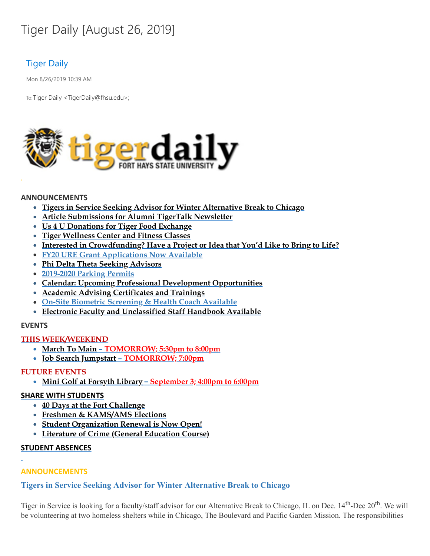# Tiger Daily [August 26, 2019]

# Tiger Daily

Mon 8/26/2019 10:39 AM

To: Tiger Daily < TigerDaily@fhsu.edu>;



#### **ANNOUNCEMENTS**

- **Tigers in Service Seeking Advisor for Winter Alternative Break to Chicago**
- **Article Submissions for Alumni TigerTalk Newsletter**
- **Us 4 U Donations for Tiger Food Exchange**
- **Tiger Wellness Center and Fitness Classes**
- **Interested in Crowdfunding? Have a Project or Idea that You'd Like to Bring to Life?**
- **FY20 URE Grant Applications Now Available**
- **Phi Delta Theta Seeking Advisors**
- **2019-2020 Parking Permits**
- **Calendar: Upcoming Professional Development Opportunities**
- **Academic Advising Certificates and Trainings**
- **On-Site Biometric Screening & Health Coach Available**
- **Electronic Faculty and Unclassified Staff Handbook Available**

#### **EVENTS**

#### **THIS WEEK/WEEKEND**

- **March To Main – TOMORROW; 5:30pm to 8:00pm**
- **Job Search Jumpstart – TOMORROW; 7:00pm**

#### **FUTURE EVENTS**

**Mini Golf at Forsyth Library – September 3; 4:00pm to 6:00pm**

#### **SHARE WITH STUDENTS**

- **40 Days at the Fort Challenge**
- **Freshmen & KAMS/AMS Elections**
- **Student Organization Renewal is Now Open!**
- **Literature of Crime (General Education Course)**

#### **STUDENT ABSENCES**

#### **ANNOUNCEMENTS**

#### **Tigers in Service Seeking Advisor for Winter Alternative Break to Chicago**

Tiger in Service is looking for a faculty/staff advisor for our Alternative Break to Chicago, IL on Dec. 14<sup>th</sup>-Dec 20<sup>th</sup>. We will be volunteering at two homeless shelters while in Chicago, The Boulevard and Pacific Garden Mission. The responsibilities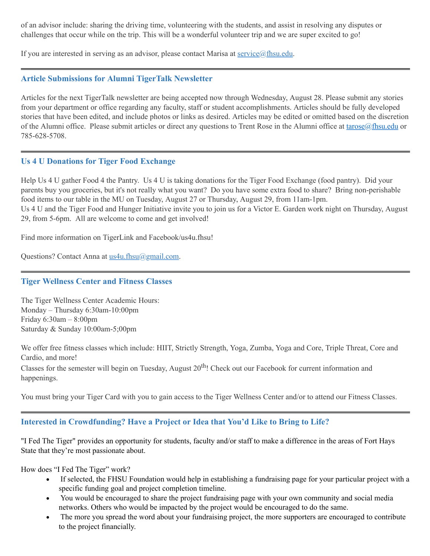of an advisor include: sharing the driving time, volunteering with the students, and assist in resolving any disputes or challenges that occur while on the trip. This will be a wonderful volunteer trip and we are super excited to go!

If you are interested in serving as an advisor, please contact Marisa at [service@fhsu.edu](mailto:service@fhsu.edu).

#### **Article Submissions for Alumni TigerTalk Newsletter**

Articles for the next TigerTalk newsletter are being accepted now through Wednesday, August 28. Please submit any stories from your department or office regarding any faculty, staff or student accomplishments. Articles should be fully developed stories that have been edited, and include photos or links as desired. Articles may be edited or omitted based on the discretion of the Alumni office. Please submit articles or direct any questions to Trent Rose in the Alumni office at [tarose@fhsu.edu](mailto:tarose@fhsu.edu) or 785-628-5708.

#### **Us 4 U Donations for Tiger Food Exchange**

Help Us 4 U gather Food 4 the Pantry. Us 4 U is taking donations for the Tiger Food Exchange (food pantry). Did your parents buy you groceries, but it's not really what you want? Do you have some extra food to share? Bring non-perishable food items to our table in the MU on Tuesday, August 27 or Thursday, August 29, from 11am-1pm. Us 4 U and the Tiger Food and Hunger Initiative invite you to join us for a Victor E. Garden work night on Thursday, August 29, from 5-6pm. All are welcome to come and get involved!

Find more information on TigerLink and Facebook/us4u.fhsu!

Questions? Contact Anna at [us4u.fhsu@gmail.com.](mailto:us4u.fhsu@gmail.com)

#### **Tiger Wellness Center and Fitness Classes**

The Tiger Wellness Center Academic Hours: Monday – Thursday 6:30am-10:00pm Friday 6:30am – 8:00pm Saturday & Sunday 10:00am-5;00pm

We offer free fitness classes which include: HIIT, Strictly Strength, Yoga, Zumba, Yoga and Core, Triple Threat, Core and Cardio, and more!

Classes for the semester will begin on Tuesday, August 20<sup>th</sup>! Check out our Facebook for current information and happenings.

You must bring your Tiger Card with you to gain access to the Tiger Wellness Center and/or to attend our Fitness Classes.

# **Interested in Crowdfunding? Have a Project or Idea that You'd Like to Bring to Life?**

"I Fed The Tiger" provides an opportunity for students, faculty and/or staff to make a difference in the areas of Fort Hays State that they're most passionate about.

How does "I Fed The Tiger" work?

- · If selected, the FHSU Foundation would help in establishing a fundraising page for your particular project with a specific funding goal and project completion timeline.
- · You would be encouraged to share the project fundraising page with your own community and social media networks. Others who would be impacted by the project would be encouraged to do the same.
- The more you spread the word about your fundraising project, the more supporters are encouraged to contribute to the project financially.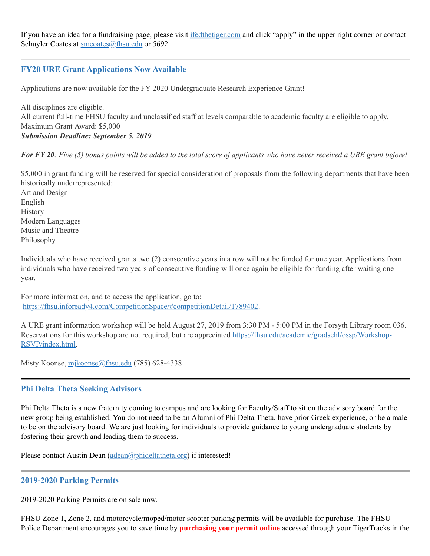If you have an idea for a fundraising page, please visit [ifedthetiger.com](https://ifedthetiger.blackbaud-sites.com/) and click "apply" in the upper right corner or contact Schuyler Coates at [smcoates@fhsu.edu](mailto:smcoates@fhsu.edu) or 5692.

# **FY20 URE Grant Applications Now Available**

Applications are now available for the FY 2020 Undergraduate Research Experience Grant!

All disciplines are eligible. All current full-time FHSU faculty and unclassified staff at levels comparable to academic faculty are eligible to apply. Maximum Grant Award: \$5,000 *Submission Deadline: September 5, 2019*

For FY 20: Five  $(5)$  bonus points will be added to the total score of applicants who have never received a URE grant before!

\$5,000 in grant funding will be reserved for special consideration of proposals from the following departments that have been historically underrepresented:

Art and Design English **History** Modern Languages Music and Theatre Philosophy

Individuals who have received grants two (2) consecutive years in a row will not be funded for one year. Applications from individuals who have received two years of consecutive funding will once again be eligible for funding after waiting one year.

For more information, and to access the application, go to: [https://fhsu.infoready4.com/CompetitionSpace/#competitionDetail/1789402.](https://fhsu.infoready4.com/CompetitionSpace/#competitionDetail/1789402)

A URE grant information workshop will be held August 27, 2019 from 3:30 PM - 5:00 PM in the Forsyth Library room 036. Reservations for this workshop are not required, but are appreciated [https://fhsu.edu/academic/gradschl/ossp/Workshop-](https://fhsu.edu/academic/gradschl/ossp/Workshop-RSVP/index.html)RSVP/index.html.

Misty Koonse, [mjkoonse@fhsu.edu](mailto:mjkoonse@fhsu.edu) (785) 628-4338

#### **Phi Delta Theta Seeking Advisors**

Phi Delta Theta is a new fraternity coming to campus and are looking for Faculty/Staff to sit on the advisory board for the new group being established. You do not need to be an Alumni of Phi Delta Theta, have prior Greek experience, or be a male to be on the advisory board. We are just looking for individuals to provide guidance to young undergraduate students by fostering their growth and leading them to success.

Please contact Austin Dean [\(adean@phideltatheta.org\)](mailto:adean@phideltatheta.org) if interested!

#### **2019-2020 Parking Permits**

2019-2020 Parking Permits are on sale now.

FHSU Zone 1, Zone 2, and motorcycle/moped/motor scooter parking permits will be available for purchase. The FHSU Police Department encourages you to save time by **purchasing your permit online** accessed through your TigerTracks in the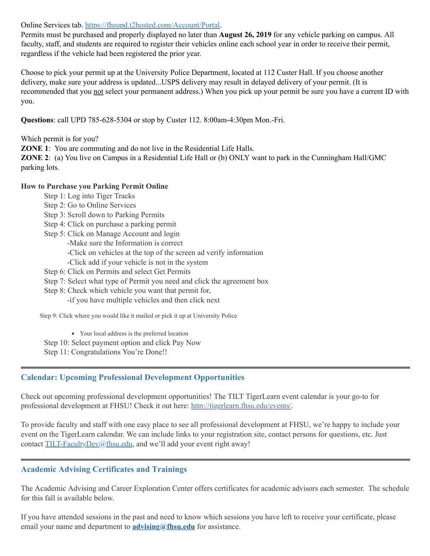Online Services tab. <https://fhsupd.t2hosted.com/Account/Portal>.

Permits must be purchased and properly displayed no later than **August 26, 2019** for any vehicle parking on campus. All faculty, staff, and students are required to register their vehicles online each school year in order to receive their permit, regardless if the vehicle had been registered the prior year.

Choose to pick your permit up at the University Police Department, located at 112 Custer Hall. If you choose another delivery, make sure your address is updated...USPS delivery may result in delayed delivery of your permit. (It is recommended that you not select your permanent address.) When you pick up your permit be sure you have a current ID with you.

**Questions**: call UPD 785-628-5304 or stop by Custer 112. 8:00am-4:30pm Mon.-Fri.

Which permit is for you?

**ZONE** 1: You are commuting and do not live in the Residential Life Halls.

**ZONE 2**: (a) You live on Campus in a Residential Life Hall or (b) ONLY want to park in the Cunningham Hall/GMC parking lots.

#### **How to Purchase you Parking Permit Online**

- Step 1: Log into Tiger Tracks
- Step 2: Go to Online Services
- Step 3: Scroll down to Parking Permits
- Step 4: Click on purchase a parking permit
- Step 5: Click on Manage Account and login
	- -Make sure the Information is correct
		- -Click on vehicles at the top of the screen ad verify information
		- -Click add if your vehicle is not in the system
- Step 6: Click on Permits and select Get Permits
- Step 7: Select what type of Permit you need and click the agreement box
- Step 8: Check which vehicle you want that permit for,
	- -if you have multiple vehicles and then click next

Step 9: Click where you would like it mailed or pick it up at University Police

Your local address is the preferred location

Step 10: Select payment option and click Pay Now

Step 11: Congratulations You're Done!!

# **Calendar: Upcoming Professional Development Opportunities**

Check out upcoming professional development opportunities! The TILT TigerLearn event calendar is your go-to for professional development at FHSU! Check it out here: <http://tigerlearn.fhsu.edu/events/>.

To provide faculty and staff with one easy place to see all professional development at FHSU, we're happy to include your event on the TigerLearn calendar. We can include links to your registration site, contact persons for questions, etc. Just contact [TILT-FacultyDev@fhsu.edu,](mailto:TILT-FacultyDev@fhsu.edu) and we'll add your event right away!

# **Academic Advising Certificates and Trainings**

The Academic Advising and Career Exploration Center offers certificates for academic advisors each semester. The schedule for this fall is available below.

If you have attended sessions in the past and need to know which sessions you have left to receive your certificate, please email your name and department to **[advising@fhsu.edu](mailto:advising@fhsu.edu)** for assistance.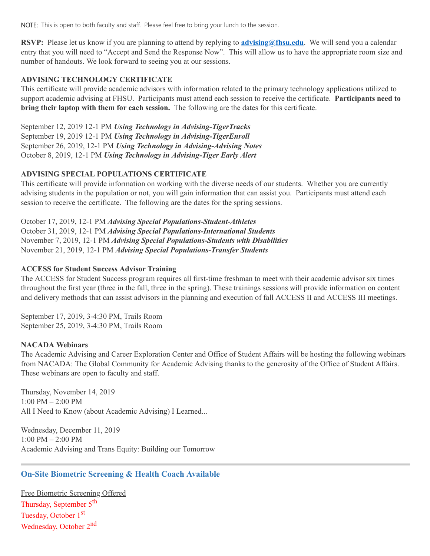NOTE: This is open to both faculty and staff. Please feel free to bring your lunch to the session.

RSVP: Please let us know if you are planning to attend by replying to **[advising@fhsu.edu](mailto:advising@fhsu.edu)**. We will send you a calendar entry that you will need to "Accept and Send the Response Now" . This will allow us to have the appropriate room size and number of handouts. We look forward to seeing you at our sessions.

#### **ADVISING TECHNOLOGY CERTIFICATE**

This certificate will provide academic advisors with information related to the primary technology applications utilized to support academic advising at FHSU. Participants must attend each session to receive the certificate. **Participants need to bring their laptop with them for each session.** The following are the dates for this certificate.

September 12, 2019 12-1 PM *Using Technology in Advising-TigerTracks* September 19, 2019 12-1 PM *Using Technology in Advising-TigerEnroll* September 26, 2019, 12-1 PM *Using Technology in Advising-Advising Notes* October 8, 2019, 12-1 PM *Using Technology in Advising-Tiger Early Alert*

#### **ADVISING SPECIAL POPULATIONS CERTIFICATE**

This certificate will provide information on working with the diverse needs of our students. Whether you are currently advising students in the population or not, you will gain information that can assist you. Participants must attend each session to receive the certificate. The following are the dates for the spring sessions.

October 17, 2019, 12-1 PM *Advising Special Populations-Student-Athletes* October 31, 2019, 12-1 PM *Advising Special Populations-International Students* November 7, 2019, 12-1 PM *Advising Special Populations-Students with Disabilities* November 21, 2019, 12-1 PM *Advising Special Populations-Transfer Students*

#### **ACCESS for Student Success Advisor Training**

The ACCESS for Student Success program requires all first-time freshman to meet with their academic advisor six times throughout the first year (three in the fall, three in the spring). These trainings sessions will provide information on content and delivery methods that can assist advisors in the planning and execution of fall ACCESS II and ACCESS III meetings.

September 17, 2019, 3-4:30 PM, Trails Room September 25, 2019, 3-4:30 PM, Trails Room

#### **NACADA Webinars**

The Academic Advising and Career Exploration Center and Office of Student Affairs will be hosting the following webinars from NACADA: The Global Community for Academic Advising thanks to the generosity of the Office of Student Affairs. These webinars are open to faculty and staff.

Thursday, November 14, 2019 1:00 PM – 2:00 PM All I Need to Know (about Academic Advising) I Learned...

Wednesday, December 11, 2019 1:00 PM – 2:00 PM Academic Advising and Trans Equity: Building our Tomorrow

# **On-Site Biometric Screening & Health Coach Available**

Free Biometric Screening Offered Thursday, September 5<sup>th</sup> Tuesday, October 1<sup>st</sup> Wednesday, October 2<sup>nd</sup>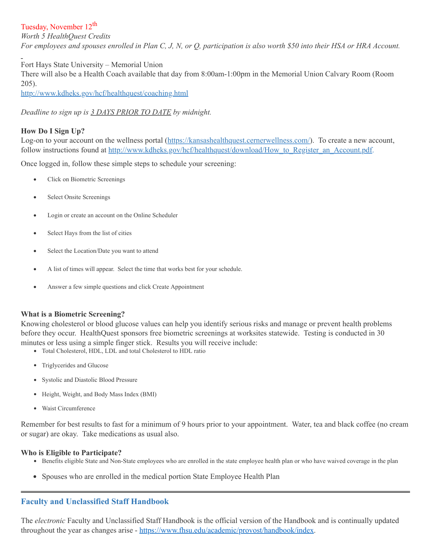# Tuesday, November 12<sup>th</sup>

*Worth 5 HealthQuest Credits* For employees and spouses enrolled in Plan C, J, N, or Q, participation is also worth \$50 into their HSA or HRA Account.

Fort Hays State University – Memorial Union

There will also be a Health Coach available that day from 8:00am-1:00pm in the Memorial Union Calvary Room (Room 205).

<http://www.kdheks.gov/hcf/healthquest/coaching.html>

*Deadline to sign up is 3 DAYS PRIOR TO DATE by midnight.*

#### **How Do I Sign Up?**

Log-on to your account on the wellness portal [\(https://kansashealthquest.cernerwellness.com/\)](https://kansashealthquest.cernerwellness.com/). To create a new account, follow instructions found at [http://www.kdheks.gov/hcf/healthquest/download/How\\_to\\_Register\\_an\\_Account.pdf](http://www.kdheks.gov/hcf/healthquest/download/How_to_Register_an_Account.pdf).

Once logged in, follow these simple steps to schedule your screening:

- Click on Biometric Screenings
- Select Onsite Screenings
- · Login or create an account on the Online Scheduler
- Select Hays from the list of cities
- Select the Location/Date you want to attend
- A list of times will appear. Select the time that works best for your schedule.
- Answer a few simple questions and click Create Appointment

#### **What is a Biometric Screening?**

Knowing cholesterol or blood glucose values can help you identify serious risks and manage or prevent health problems before they occur. HealthQuest sponsors free biometric screenings at worksites statewide. Testing is conducted in 30 minutes or less using a simple finger stick. Results you will receive include:

- Total Cholesterol, HDL, LDL and total Cholesterol to HDL ratio
- Triglycerides and Glucose
- Systolic and Diastolic Blood Pressure
- Height, Weight, and Body Mass Index (BMI)
- Waist Circumference

Remember for best results to fast for a minimum of 9 hours prior to your appointment. Water, tea and black coffee (no cream or sugar) are okay. Take medications as usual also.

#### **Who is Eligible to Participate?**

- Benefits eligible State and Non-State employees who are enrolled in the state employee health plan or who have waived coverage in the plan
- Spouses who are enrolled in the medical portion State Employee Health Plan

# **Faculty and Unclassified Staff Handbook**

The *electronic* Faculty and Unclassified Staff Handbook is the official version of the Handbook and is continually updated throughout the year as changes arise - <https://www.fhsu.edu/academic/provost/handbook/index>.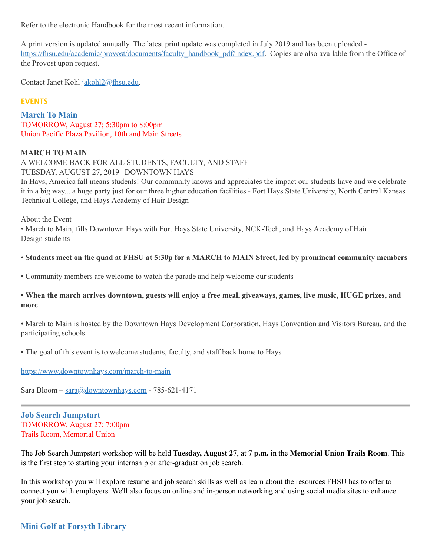Refer to the electronic Handbook for the most recent information.

A print version is updated annually. The latest print update was completed in July 2019 and has been uploaded [https://fhsu.edu/academic/provost/documents/faculty\\_handbook\\_pdf/index.pdf.](https://fhsu.edu/academic/provost/documents/faculty_handbook_pdf/index.pdf) Copies are also available from the Office of the Provost upon request.

Contact Janet Kohl [jakohl2@fhsu.edu.](mailto:jakohl2@fhsu.edu)

#### **EVENTS**

#### **March To Main**

TOMORROW, August 27; 5:30pm to 8:00pm Union Pacific Plaza Pavilion, 10th and Main Streets

#### **MARCH TO MAIN**

A WELCOME BACK FOR ALL STUDENTS, FACULTY, AND STAFF TUESDAY, AUGUST 27, 2019 | DOWNTOWN HAYS

In Hays, America fall means students! Our community knows and appreciates the impact our students have and we celebrate it in a big way... a huge party just for our three higher education facilities - Fort Hays State University, North Central Kansas Technical College, and Hays Academy of Hair Design

About the Event

• March to Main, fills Downtown Hays with Fort Hays State University, NCK-Tech, and Hays Academy of Hair Design students

#### • Students meet on the quad at FHSU at 5:30p for a MARCH to MAIN Street, led by prominent community members

• Community members are welcome to watch the parade and help welcome our students

#### . When the march arrives downtown, guests will enjoy a free meal, giveaways, games, live music, HUGE prizes, and **more**

• March to Main is hosted by the Downtown Hays Development Corporation, Hays Convention and Visitors Bureau, and the participating schools

• The goal of this event is to welcome students, faculty, and staff back home to Hays

<https://www.downtownhays.com/march-to-main>

Sara Bloom – [sara@downtownhays.com](mailto:sara@downtownhays.com) - 785-621-4171

**Job Search Jumpstart** TOMORROW, August 27; 7:00pm Trails Room, Memorial Union

The Job Search Jumpstart workshop will be held **Tuesday, August 27**, at **7 p.m.** in the **Memorial Union Trails Room**. This is the first step to starting your internship or after-graduation job search.

In this workshop you will explore resume and job search skills as well as learn about the resources FHSU has to offer to connect you with employers. We'll also focus on online and in-person networking and using social media sites to enhance your job search.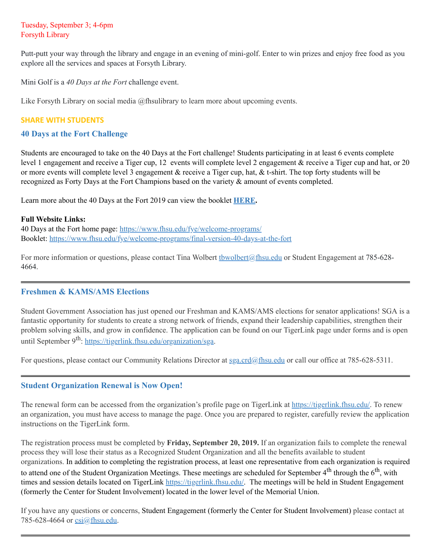#### Tuesday, September 3; 4-6pm Forsyth Library

Putt-putt your way through the library and engage in an evening of mini-golf. Enter to win prizes and enjoy free food as you explore all the services and spaces at Forsyth Library.

Mini Golf is a *40 Days at the Fort* challenge event.

Like Forsyth Library on social media @fhsulibrary to learn more about upcoming events.

#### **SHARE WITH STUDENTS**

#### **40 Days at the Fort Challenge**

Students are encouraged to take on the 40 Days at the Fort challenge! Students participating in at least 6 events complete level 1 engagement and receive a Tiger cup, 12 events will complete level 2 engagement & receive a Tiger cup and hat, or 20 or more events will complete level 3 engagement & receive a Tiger cup, hat, & t-shirt. The top forty students will be recognized as Forty Days at the Fort Champions based on the variety & amount of events completed.

Learn more about the 40 Days at the Fort 2019 can view the booklet **[HERE.](https://www.fhsu.edu/fye/welcome-programs/final-version-40-days-at-the-fort)**

#### **Full Website Links:**

40 Days at the Fort home page: <https://www.fhsu.edu/fye/welcome-programs/> Booklet: <https://www.fhsu.edu/fye/welcome-programs/final-version-40-days-at-the-fort>

For more information or questions, please contact Tina Wolbert the uphert and physical or Student Engagement at 785-628-4664.

# **Freshmen & KAMS/AMS Elections**

Student Government Association has just opened our Freshman and KAMS/AMS elections for senator applications! SGA is a fantastic opportunity for students to create a strong network of friends, expand their leadership capabilities, strengthen their problem solving skills, and grow in confidence. The application can be found on our TigerLink page under forms and is open until September 9<sup>th</sup>: <https://tigerlink.fhsu.edu/organization/sga>.

For questions, please contact our Community Relations Director at [sga.crd@fhsu.edu](mailto:sga.crd@fhsu.edu) or call our office at 785-628-5311.

# **Student Organization Renewal is Now Open!**

The renewal form can be accessed from the organization's profile page on TigerLink at [https://tigerlink.fhsu.edu/.](https://tigerlink.fhsu.edu/) To renew an organization, you must have access to manage the page. Once you are prepared to register, carefully review the application instructions on the TigerLink form.

The registration process must be completed by **Friday, September 20, 2019.** If an organization fails to complete the renewal process they will lose their status as a Recognized Student Organization and all the benefits available to student organizations. In addition to completing the registration process, at least one representative from each organization is required to attend one of the Student Organization Meetings. These meetings are scheduled for September 4<sup>th</sup> through the  $6^{\text{th}}$ , with times and session details located on TigerLink <https://tigerlink.fhsu.edu/>. The meetings will be held in Student Engagement (formerly the Center for Student Involvement) located in the lower level of the Memorial Union.

If you have any questions or concerns, Student Engagement (formerly the Center for Student Involvement) please contact at 785-628-4664 or [csi@fhsu.edu](mailto:csi@fhsu.edu).